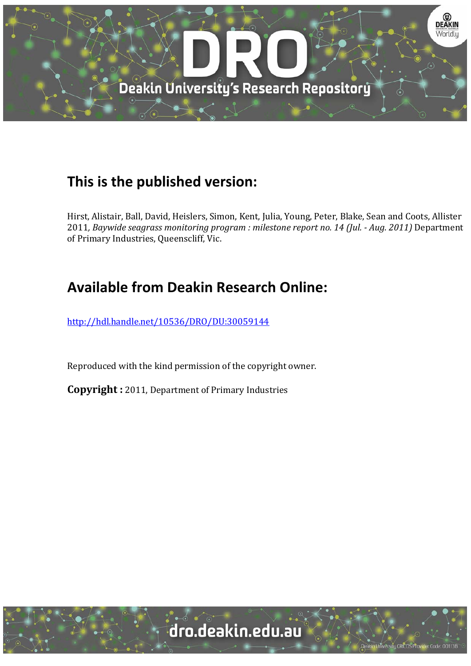

## **This is the published version:**

Hirst, Alistair, Ball, David, Heislers, Simon, Kent, Julia, Young, Peter, Blake, Sean and Coots, Allister 2011*, Baywide seagrass monitoring program : milestone report no. 14 (Jul. ‐ Aug. 2011)* Department of Primary Industries, Queenscliff, Vic.

# **Available from Deakin Research Online:**

http://hdl.handle.net/10536/DRO/DU:30059144

Reproduced with the kind permission of the copyright owner.

**Copyright** : 2011, Department of Primary Industries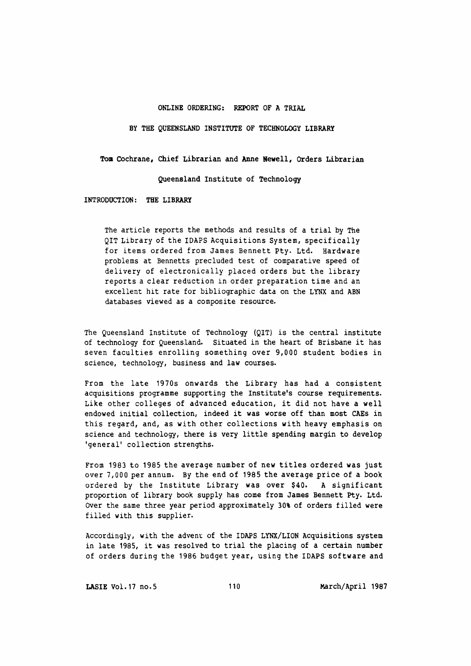#### ONLINE ORDERING: REPORT OF A TRIAL

BY THE QUEENSLAND INSTITUTE OF TECHNOLOGY LIBRARY

Tom Cochrane, Chief Librarian and Anne Newell, Orders Librarian

Queensland Institute of Technology

INTRODUCTION: THE LIBRARY

The article reports the methods and results of a trial by The QIT Library of the IDAPS Acquisitions System, specifically for items ordered from James Bennett Pty. Ltd. Hardware problems at Bennetts precluded test of comparative speed of delivery of electronically placed orders but the library reports a clear reduction in order preparation time and an excellent hit rate for bibliographic data on the LYNX and ABN databases viewed as a composite resource.

The Queensland Institute of Technology (QIT) is the central institute of technology for Queensland. Situated in the heart of Brisbane it has seven faculties enrolling something over 9,000 student bodies in science, technology, business and law courses.

From the late 1970s onwards the Library has had a consistent acquisitions programme supporting the Institute's course requirements. Like other colleges of advanced education, it did not have a well endowed initial collection, indeed it was worse off than most CAEs in this regard, and, as with other collections with heavy emphasis on science and technology, there is very little spending margin to develop 'general' collection strengths.

From 1983 to 1985 the average number of new titles ordered was just over 7,000 per annum. By the end of 1985 the average price of a book ordered by the Institute Library was over \$40. A significant proportion of library book supply has come from James Bennett pty. Ltd. over the same three year period approximately 30% of orders filled were filled with this supplier.

Accordingly, with the advent of the IDAPS LYNX/LION Acquisitions system in late 1985, it was resolved to trial the placing of a certain number of orders during the 1986 budget year, using the IDAPS software and

LASIE Vol.17 no.s 110 March/April 1987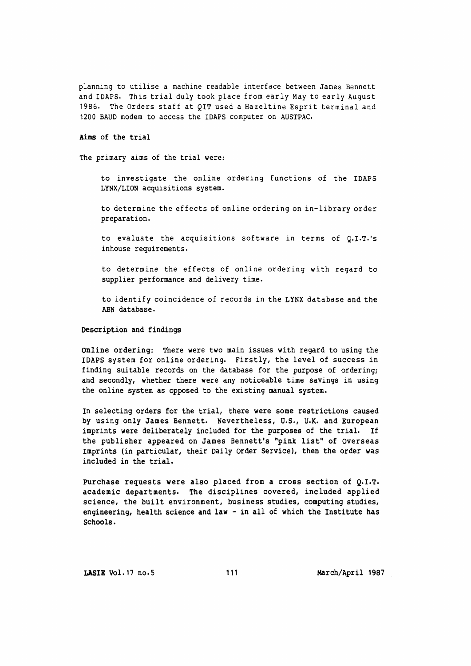planning to utilise a machine readable interface between James Bennett and IDAPS. This trial duly took place from early May to early August 1986. The Orders staff at QIT used a Hazeltine Esprit terminal and 1200 BAUD modem to access the IDAPS computer on AUSTPAC.

Aims of the trial

The primary aims of the trial were:

to investigate the online ordering functions of the IDAPS LYNX/LION acquisitions system.

to determine the effects of online ordering on in-library order preparation.

to evaluate the acquisitions software in terms of  $Q.I.T.'s$ inhouse requirements.

to determine the effects of online ordering with regard to supplier performance and delivery time.

to identify coincidence of records in the LYNX database and the ABN database.

Description and findings

Online ordering: There were two main issues with regard to using the IDAPS system for online ordering. Firstly, the level of success in finding suitable records on the database for the purpose of ordering; and secondly, whether there were any noticeable time savings in using the online system as opposed to the existing manual system.

In selecting orders for the trial, there were some restrictions caused by using only James Bennett. Nevertheless, U.S., U.K. and European imprints were deliberately included for the purposes of the trial. If the publisher appeared on James Bennett's "pink list" of overseas Imprints (in particular, their Daily order Service), then the order was included in the trial.

Purchase requests were also placed from a cross section of Q.I.T. academic departments. The disciplines covered, included applied science, the built environment, business studies, computing studies, engineering, health science and law - in all of which the Institute has schools.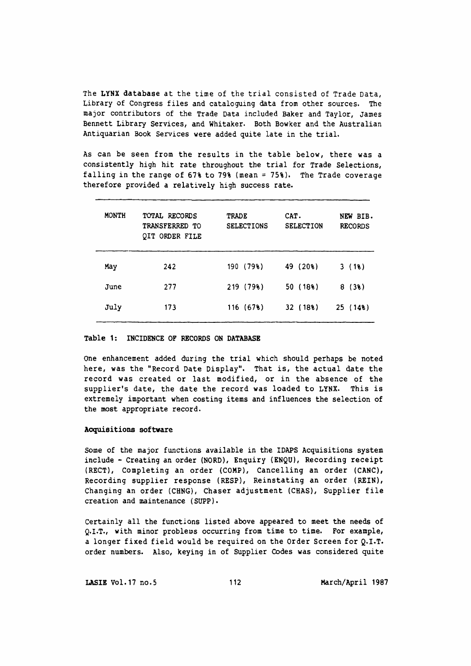The LYNX database at the time of the trial consisted of Trade Data, Library of Congress files and cataloguing data from other sources. The major contributors of the Trade Data included Baker and Taylor, James Bennett Library Services, and Whitaker. Both Bowker and the Australian Antiquarian Book Services were added quite late in the trial.

As can be seen from the results in the table below, there was a consistently high hit rate throughout the trial for Trade Selections, falling in the range of 67% to 79% (mean= 75%). The Trade coverage therefore provided a relatively high success rate.

| <b>MONTH</b> | TOTAL RECORDS<br>TRANSFERRED TO<br>QIT ORDER FILE | <b>TRADE</b><br><b>SELECTIONS</b> | CAT.<br><b>SELECTION</b> | NEW BIB.<br><b>RECORDS</b> |
|--------------|---------------------------------------------------|-----------------------------------|--------------------------|----------------------------|
| May          | 242                                               | 190(798)                          | 49 (20%)                 | 3(18)                      |
| June         | 277                                               | 219 (79%)                         | 50(18)                   | 8(38)                      |
| July         | 173                                               | 116(678)                          | 32(188)                  | 25(148)                    |

#### Table 1: INCIDENCE OF RECORDS ON DATABASE

One enhancement added during the trial which should perhaps be noted here, was the "Record Date Display". That is, the actual date the record was created or last modified, or in the absence of the supplier's date, the date the record was loaded to LYNX. This is extremely important when costing items and influences the selection of the most appropriate record.

#### Acquisitions software

Some of the major functions available in the IDAPS Acquisitions system include - Creating an order (NORD), Enquiry ( ENQU), Recording receipt {RECT), Completing an order (COMP), Cancelling an order (CANC), Recording supplier response (RESP), Reinstating an order (REIN), Changing an order (CHNG), Chaser adjustment (CHAS), Supplier file creation and maintenance (SUPP).

Certainly all the functions listed above appeared to meet the needs of Q.I.T., with minor problems occurring from time to time. For example, a longer fixed field would be required on the Order Screen for Q.I.T. order numbers. Also, keying in of supplier Codes was considered quite

LASIE Vol.17 no.5 112 March/April 1987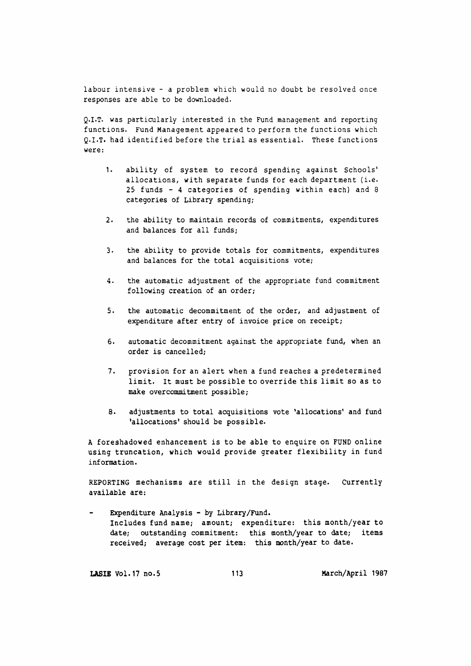labour intensive - a problem which would no doubt be resolved once responses are able to be downloaded.

Q.I.T. was particularly interested in the Fund management and reporting functions. Fund Management appeared to perform the functions which Q.I.T. had identified before the trial as essential. These functions were:

- 1. ability of system to record spending against Schools' allocations, with separate funds for each department (i.e. 25 funds - 4 categories of spending within each) and 8 categories of Library spending;
- 2. the ability to maintain records of commitments, expenditures and balances for all funds;
- 3. the ability to provide totals for commitments, expenditures and balances for the total acquisitions vote;
- 4. the automatic adjustment of the appropriate fund commitment following creation of an order;
- S. the automatic decommitment of the order, and adjustment of expenditure after entry of invoice price on receipt;
- 6. automatic decommitment against the appropriate fund, when an order is cancelled;
- 7. provision for an alert when a fund reaches a predetermined limit. It must be possible to override this limit so as to make overcommitment possible;
- s. adjustments to total acquisitions vote 'allocations' and fund 'allocations' should be possible.

A foreshadowed enhancement is to be able to enquire on FUND online using truncation, which would provide greater flexibility *in* fund information.

REPORTING mechanisms are still in the design stage. Currently available are:

Expenditure Analysis - by Library/Fund. Includes fund name; amount; expenditure: this month/year to date; outstanding commitment: this month/year to date; items received; average cost per item: this month/year to date.

LASIB Vol.17 no.5 113 March/April 1987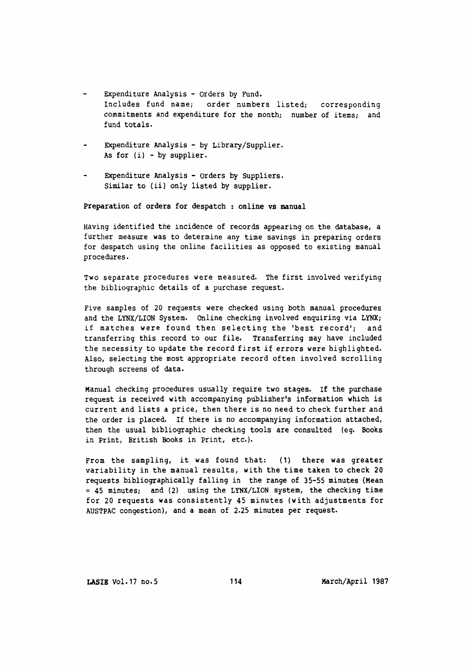- Expenditure Analysis orders by Fund. Includes fund name; order numbers listed; corresponding commitments and expenditure for the month; number of items; and fund totals.
- Expenditure Analysis by Library/Supplier. As for  $(i)$  - by supplier.
- Expenditure Analysis Orders by SUppliers. Similar to (ii) only listed by supplier.

Preparation of orders for despatch : online vs manual

Having identified the incidence of records appearing on the database, a further measure was to determine any time savings in preparing orders for despatch using the online facilities as opposed to existing manual procedures.

Two separate procedures were measured. The first involved verifying the bibliographic details of a purchase request.

Five samples of 20 requests were checked using both manual procedures and the LYNX/LION System. Online checking involved enquiring via LYNX; if matches were found then selecting the 'best record'; and transferring this record to our file. Transferring may have included the necessity to update the record first if errors were highlighted. Also, selecting the most appropriate record often involved scrolling through screens of data.

Manual checking procedures usually require two stages. If the purchase request is received with accompanying publisher's information which is current and lists a price, then there is no need to check further and the order is placed. If there is no accompanying information attached, then the usual bibliographic checking tools are consulted (eg. Books in Print, British Books in Print, etc.).

From the sampling, it was found that: ( 1) there was greater variability in the manual results, with the time taken to check 20 requests bibliographically falling in the range of 35-55 minutes (Mean  $= 45$  minutes; and (2) using the LYNX/LION system, the checking time for 20 requests was consistently 45 minutes (with adjustments for AUSTPAC congestion), and a mean of 2.25 minutes per request.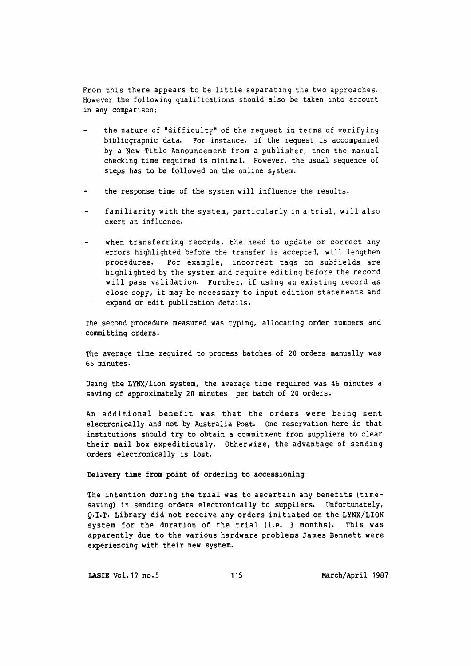From this there appears to be little separating the two approaches. However the following qualifications should also be taken into account in any comparison:

- the nature of "difficulty" of the request in terms of verifying bibliographic data. For instance, if the request is accompanied by a New Title Announcement from a publisher, then the manual checking time required is minimal. However, the usual sequence of steps has to be followed on the online system.
- the response time of the system will influence the results.
- familiarity with the system, particularly in a trial, will also exert an influence.
- when transferring records, the need to update or correct any errors highlighted before the transfer is accepted, will lengthen procedures. For example, incorrect tags on subfields are highlighted by the system and require editing before the record will pass validation. Further, if using an existing record as close copy, it may be necessary to input edition statements and expand or edit publication details.

The second procedure measured was typing, allocating order numbers and committing orders.

The average time required to process batches of 20 orders manually was 65 minutes.

Using the LYNX/lion system, the average time required was 46 minutes a saving of approximately 20 minutes per batch of 20 orders.

An additional benefit was that the orders were being sent electronically and not by Australia Post. One reservation here is that institutions should try to obtain a commitment from suppliers to clear their mail box expeditiously. Otherwise, the advantage of sending orders electronically is lost.

### Delivery time from point of ordering to accessioning

The intention during the trial was to ascertain any benefits {timesaving} in sending orders electronically to suppliers. Unfortunately, Q.I.T. Library did not receive any orders initiated on the LYNX/LION system for the duration of the trial (i.e. 3 months). This was apparently due to the various hardware problems James Bennett were experiencing with their new system.

LASIE Vol.17 no.5 115 1987 March/April 1987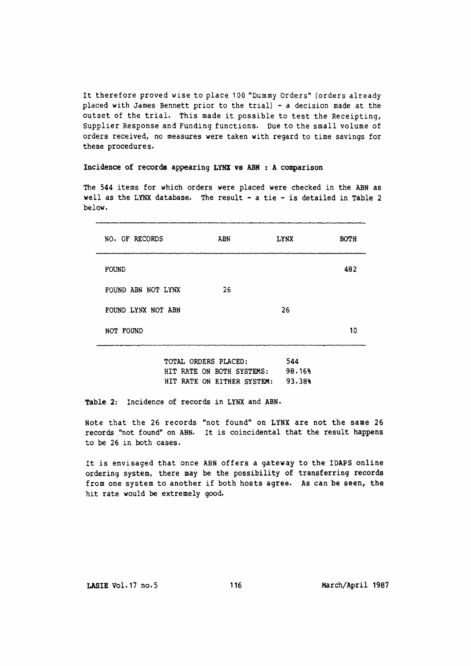It therefore proved wise to place 100 "Dummy Orders" (orders already placed with James Bennett prior to the trial) - a decision made at the outset of the trial. This made it possible to test the Receipting, Supplier Response and Funding functions. Due to the small volume of orders received, no measures were taken with regard to time savings for these procedures.

#### Incidence of records appearing LYNX vs ABN : A comparison

The 544 items for which orders were placed were checked in the ABN as well as the LYNX database. The result  $-$  a tie  $-$  is detailed in Table 2 below.

| NO. OF RECORDS     | ABN | <b>LYNX</b> | <b>BOTH</b> |
|--------------------|-----|-------------|-------------|
| <b>FOUND</b>       |     |             | 482         |
| FOUND ABN NOT LYNX | 26  |             |             |
| FOUND LYNX NOT ABN |     | 26          |             |
| NOT FOUND          |     |             | 10          |

TOTAL ORDERS PLACED: 544 HIT RATE ON BOTH SYSTEMS: 98.16% HIT RATE ON EITHER SYSTEM: 93.38%

Table 2: Incidence of records in LYNX and ABN.

Note that the 26 records "not found" on LYNX are not the same 26 records "not found" on ABN. It is coincidental that the result happens to be 26 in both cases.

It is envisaged that once ABN offers a gateway to the IDAPS online ordering system, there may be the possibility of transferring records from one system to another if both hosts agree. As can be seen, the hit rate would be extremely good.